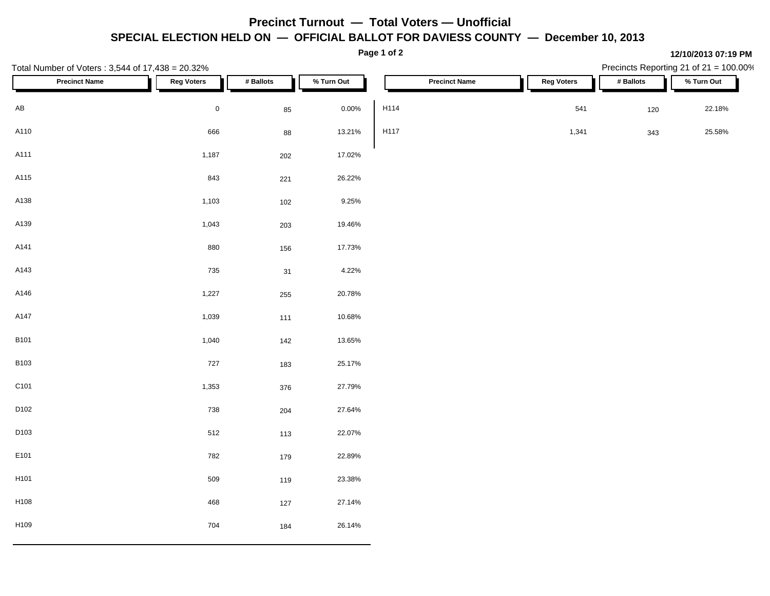## **Precinct Turnout — Total Voters — Unofficial SPECIAL ELECTION HELD ON — OFFICIAL BALLOT FOR DAVIESS COUNTY — December 10, 2013**

| Total Number of Voters: 3,544 of 17,438 = 20.32% | Page 1 of 2       |           |            |      |                      |                   |           | 12/10/2013 07:19 PM<br>Precincts Reporting 21 of 21 = 100.00% |            |  |  |
|--------------------------------------------------|-------------------|-----------|------------|------|----------------------|-------------------|-----------|---------------------------------------------------------------|------------|--|--|
| <b>Precinct Name</b>                             | <b>Reg Voters</b> | # Ballots | % Turn Out |      | <b>Precinct Name</b> | <b>Reg Voters</b> | # Ballots |                                                               | % Turn Out |  |  |
| $\mathsf{A}\mathsf{B}$                           | $\,0\,$           | 85        | $0.00\%$   | H114 |                      | 541               |           | 120                                                           | 22.18%     |  |  |
| A110                                             | 666               | 88        | 13.21%     | H117 |                      | 1,341             |           | 343                                                           | 25.58%     |  |  |
| A111                                             | 1,187             | 202       | 17.02%     |      |                      |                   |           |                                                               |            |  |  |
| A115                                             | 843               | 221       | 26.22%     |      |                      |                   |           |                                                               |            |  |  |
| A138                                             | 1,103             | 102       | 9.25%      |      |                      |                   |           |                                                               |            |  |  |
| A139                                             | 1,043             | 203       | 19.46%     |      |                      |                   |           |                                                               |            |  |  |
| A141                                             | 880               | 156       | 17.73%     |      |                      |                   |           |                                                               |            |  |  |
| A143                                             | 735               | 31        | 4.22%      |      |                      |                   |           |                                                               |            |  |  |
| A146                                             | 1,227             | 255       | 20.78%     |      |                      |                   |           |                                                               |            |  |  |
| A147                                             | 1,039             | 111       | 10.68%     |      |                      |                   |           |                                                               |            |  |  |
| <b>B101</b>                                      | 1,040             | 142       | 13.65%     |      |                      |                   |           |                                                               |            |  |  |
| <b>B103</b>                                      | 727               | 183       | 25.17%     |      |                      |                   |           |                                                               |            |  |  |
| C101                                             | 1,353             | 376       | 27.79%     |      |                      |                   |           |                                                               |            |  |  |
| D102                                             | 738               | 204       | 27.64%     |      |                      |                   |           |                                                               |            |  |  |
| D103                                             | 512               | 113       | 22.07%     |      |                      |                   |           |                                                               |            |  |  |
| E101                                             | 782               | 179       | 22.89%     |      |                      |                   |           |                                                               |            |  |  |
| H101                                             | 509               | 119       | 23.38%     |      |                      |                   |           |                                                               |            |  |  |
| H108                                             | 468               | 127       | 27.14%     |      |                      |                   |           |                                                               |            |  |  |
| H109                                             | 704               | 184       | 26.14%     |      |                      |                   |           |                                                               |            |  |  |